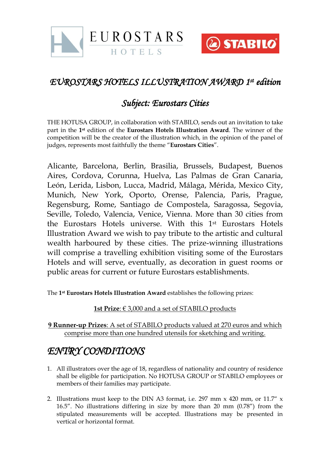



## *EUROSTARS HOTELS ILLUSTRATION AWARD 1 st edition*

## *Subject: Eurostars Cities*

THE HOTUSA GROUP, in collaboration with STABILO, sends out an invitation to take part in the **1st** edition of the **Eurostars Hotels Illustration Award**. The winner of the competition will be the creator of the illustration which, in the opinion of the panel of judges, represents most faithfully the theme "**Eurostars Cities**".

Alicante, Barcelona, Berlin, Brasilia, Brussels, Budapest, Buenos Aires, Cordova, Corunna, Huelva, Las Palmas de Gran Canaria, León, Lerida, Lisbon, Lucca, Madrid, Málaga, Mérida, Mexico City, Munich, New York, Oporto, Orense, Palencia, Paris, Prague, Regensburg, Rome, Santiago de Compostela, Saragossa, Segovia, Seville, Toledo, Valencia, Venice, Vienna. More than 30 cities from the Eurostars Hotels universe. With this 1st Eurostars Hotels Illustration Award we wish to pay tribute to the artistic and cultural wealth harboured by these cities. The prize-winning illustrations will comprise a travelling exhibition visiting some of the Eurostars Hotels and will serve, eventually, as decoration in guest rooms or public areas for current or future Eurostars establishments.

The **1st Eurostars Hotels Illustration Award** establishes the following prizes:

## **1st Prize**: € 3,000 and a set of STABILO products

**9 Runner-up Prizes**: A set of STABILO products valued at 270 euros and which comprise more than one hundred utensils for sketching and writing.

## *ENTRY CONDITIONS*

- 1. All illustrators over the age of 18, regardless of nationality and country of residence shall be eligible for participation. No HOTUSA GROUP or STABILO employees or members of their families may participate.
- 2. Illustrations must keep to the DIN A3 format, i.e. 297 mm  $\times$  420 mm, or 11.7"  $\times$ 16.5". No illustrations differing in size by more than 20 mm (0.78") from the stipulated measurements will be accepted. Illustrations may be presented in vertical or horizontal format.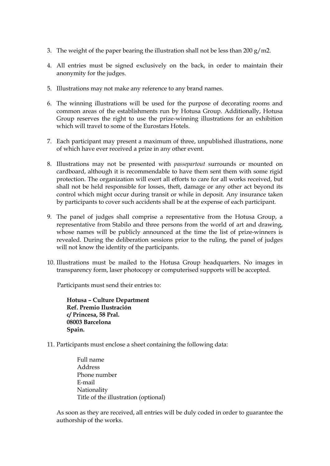- 3. The weight of the paper bearing the illustration shall not be less than 200 g/m2.
- 4. All entries must be signed exclusively on the back, in order to maintain their anonymity for the judges.
- 5. Illustrations may not make any reference to any brand names.
- 6. The winning illustrations will be used for the purpose of decorating rooms and common areas of the establishments run by Hotusa Group. Additionally, Hotusa Group reserves the right to use the prize-winning illustrations for an exhibition which will travel to some of the Eurostars Hotels.
- 7. Each participant may present a maximum of three, unpublished illustrations, none of which have ever received a prize in any other event.
- 8. Illustrations may not be presented with *passepartout* surrounds or mounted on cardboard, although it is recommendable to have them sent them with some rigid protection. The organization will exert all efforts to care for all works received, but shall not be held responsible for losses, theft, damage or any other act beyond its control which might occur during transit or while in deposit. Any insurance taken by participants to cover such accidents shall be at the expense of each participant.
- 9. The panel of judges shall comprise a representative from the Hotusa Group, a representative from Stabilo and three persons from the world of art and drawing, whose names will be publicly announced at the time the list of prize-winners is revealed. During the deliberation sessions prior to the ruling, the panel of judges will not know the identity of the participants.
- 10. Illustrations must be mailed to the Hotusa Group headquarters. No images in transparency form, laser photocopy or computerised supports will be accepted.

Participants must send their entries to:

**Hotusa – Culture Department Ref. Premio Ilustración c/ Princesa, 58 Pral. 08003 Barcelona Spain.**

- 11. Participants must enclose a sheet containing the following data:
	- Full name Address Phone number E-mail Nationality Title of the illustration (optional)

As soon as they are received, all entries will be duly coded in order to guarantee the authorship of the works.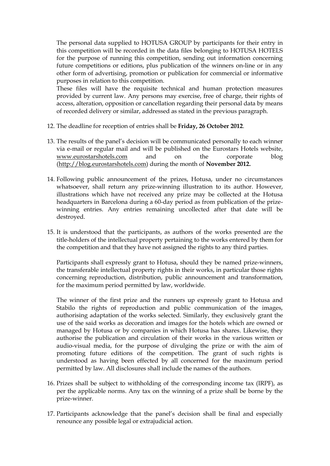The personal data supplied to HOTUSA GROUP by participants for their entry in this competition will be recorded in the data files belonging to HOTUSA HOTELS for the purpose of running this competition, sending out information concerning future competitions or editions, plus publication of the winners on-line or in any other form of advertising, promotion or publication for commercial or informative purposes in relation to this competition.

These files will have the requisite technical and human protection measures provided by current law. Any persons may exercise, free of charge, their rights of access, alteration, opposition or cancellation regarding their personal data by means of recorded delivery or similar, addressed as stated in the previous paragraph.

- 12. The deadline for reception of entries shall be **Friday, 26 October 2012**.
- 13. The results of the panel's decision will be communicated personally to each winner via e-mail or regular mail and will be published on the Eurostars Hotels website, [www.eurostarshotels.com](http://www.eurostarshotels.com/) and on the corporate blog [\(http://blog.eurostarshotels.com\)](http://blog.eurostarshotels.com/) during the month of **November 2012.**
- 14. Following public announcement of the prizes, Hotusa, under no circumstances whatsoever, shall return any prize-winning illustration to its author. However, illustrations which have not received any prize may be collected at the Hotusa headquarters in Barcelona during a 60-day period as from publication of the prizewinning entries. Any entries remaining uncollected after that date will be destroyed.
- 15. It is understood that the participants, as authors of the works presented are the title-holders of the intellectual property pertaining to the works entered by them for the competition and that they have not assigned the rights to any third parties.

Participants shall expressly grant to Hotusa, should they be named prize-winners, the transferable intellectual property rights in their works, in particular those rights concerning reproduction, distribution, public announcement and transformation, for the maximum period permitted by law, worldwide.

The winner of the first prize and the runners up expressly grant to Hotusa and Stabilo the rights of reproduction and public communication of the images, authorising adaptation of the works selected. Similarly, they exclusively grant the use of the said works as decoration and images for the hotels which are owned or managed by Hotusa or by companies in which Hotusa has shares. Likewise, they authorise the publication and circulation of their works in the various written or audio-visual media, for the purpose of divulging the prize or with the aim of promoting future editions of the competition. The grant of such rights is understood as having been effected by all concerned for the maximum period permitted by law. All disclosures shall include the names of the authors.

- 16. Prizes shall be subject to withholding of the corresponding income tax (IRPF), as per the applicable norms. Any tax on the winning of a prize shall be borne by the prize-winner.
- 17. Participants acknowledge that the panel's decision shall be final and especially renounce any possible legal or extrajudicial action.